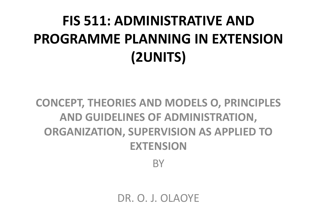# **FIS 511: ADMINISTRATIVE AND PROGRAMME PLANNING IN EXTENSION (2UNITS)**

#### **CONCEPT, THEORIES AND MODELS O, PRINCIPLES AND GUIDELINES OF ADMINISTRATION, ORGANIZATION, SUPERVISION AS APPLIED TO EXTENSION**

**BY** 

DR. O. J. OLAOYE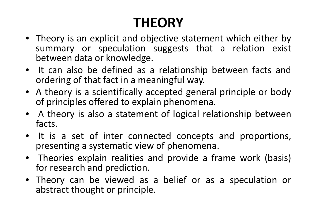# **THEORY**

- Theory is an explicit and objective statement which either by summary or speculation suggests that <sup>a</sup> relation exist between data or knowledge.
- It can also be defined as <sup>a</sup> relationship between facts andordering of that fact in <sup>a</sup> meaningful way.
- <sup>A</sup> theory is <sup>a</sup> scientifically accepted general principle or body of principles offered to explain phenomena.
- <sup>A</sup> theory is also <sup>a</sup> statement of logical relationship between facts.
- It is <sup>a</sup> set of inter connected concepts and proportions, presenting <sup>a</sup> systematic view of phenomena.
- Theories explain realities and provide <sup>a</sup> frame work (basis) for research and prediction.
- Theory can be viewed as <sup>a</sup> belief or as <sup>a</sup> speculation or abstract thought or principle.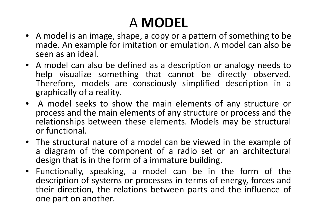# A **MODEL**

- <sup>A</sup> model is an image, shape, <sup>a</sup> copy or <sup>a</sup> pattern of something to <sup>b</sup>e made. An example for imitation or emulation. <sup>A</sup> model can also be seen as an ideal.
- <sup>A</sup> model can also be defined as <sup>a</sup> description or analogy needs <sup>t</sup> ohelp visualize something that cannot be directly observed.<br>Therefore we delegate the single singlified description is Therefore, models are consciously simplified description in <sup>a</sup> graphically of <sup>a</sup> reality.
- A model seeks to show the main elements of any structure or<br>process and the main elements of any structure or process and the process and the main elements of any structure or process and the<br>relationalism hatureaus these alomantes Madele manufactureture relationships between these elements. Models may be structural or functional.
- The structural nature of <sup>a</sup> model can be viewed in the example <sup>o</sup>fa diagram of the component of a radio set or an architectural<br>design that is in the form of a immature huilding design that is in the form of a immature building.<br>Eurationally, encoling as model, sen, he in a
- Functionally, speaking, <sup>a</sup> model can be in the form of the description of systems or processes in terms of energy, forces and their direction, the relations between parts and the influence of one part on another.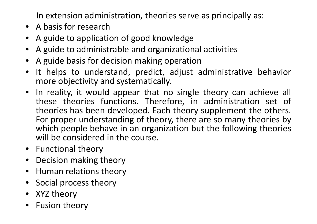In extension administration, theories serve as principally as:

- <sup>A</sup> basis for research
- <sup>A</sup> guide to application of good knowledge •
- •<sup>A</sup> guide to administrable and organizational activities
- •<sup>A</sup> guide basis for decision making operation
- It helps to understand, predict, adjust administrative behavior  $\bullet$ more objectivity and systematically.
- In reality, it would appear that no single theory can achieve all these theories functions. Therefore, in administration set of theories has been developed. Each theory supplement the others. For proper understanding of theory, there are so many theories by which people behave in an organization but the following theories will be considered in the course.
- Functional theory
- •Decision making theory
- •Human relations theory
- $\bullet$ Social process theory
- XYZ theory
- $\bullet$ Fusion theory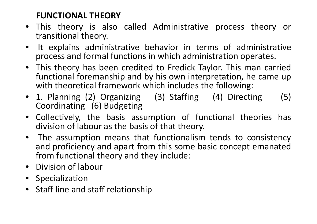#### **FUNCTIONAL THEORY**

- This theory is also called Administrative process theory or transitional theory.
- $\bullet$  It explains administrative behavior in terms of administrative process and formal functions in which administration operates.
- This theory has been credited to Fredick Taylor. This man carriedfunctional foremanship and by his own interpretation, he came up with theoretical framework which includes the following:
- 1. Planning (2) Organizing (3) Staffing (4) Directing (5) Coordinating (6) Budgeting
- •• Collectively, the basis assumption of functional theories has division of labour as the basis of that theory.
- $\bullet$ The assumption means that functionalism tends to consistency<br>and proficiency and anart from this some hasic concent emanated and proficiency and apart from this some basic concept emanated<br>from functional theory and they include: from functional theory and they include:<br>Division of labour
- Division of labour
- Specialization
- Staff line and staff relationship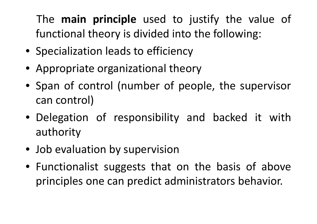### The **main principle** used to justify the value of functional theory is divided into the following:

- Specialization leads to efficiency
- Appropriate organizational theory
- Span of control (number of people, the supervisor can control)
- Delegation of responsibility and backed it with authority
- Job evaluation by supervision
- Functionalist suggests that on the basis of above principles one can predict administrators behavior.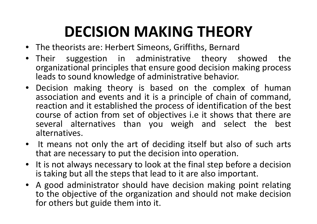# **DECISION MAKING THEORY**

- The theorists are: Herbert Simeons, Griffiths, Bernard
- Their suggestion in administrative theory showed the •organizational principles that ensure good decision making process leads to sound knowledge of administrative behavior.
- Decision making theory is based on the complex of humanassociation and events and it is a principle of chain of command, reaction and it established the process of identification of the best course of action from set of objectives i.e it shows that there are<br>several alternatives than you weigh and select the hest several alternatives than you weigh and select the best alternatives.
- • It means not only the art of deciding itself but also of such arts that are necessary to put the decision into operation.
- • It is not always necessary to look at the final step before <sup>a</sup> decisionis taking but all the steps that lead to it are also important.
- <sup>A</sup> good administrator should have decision making point relating to the objective of the organization and should not make decisionfor others but guide them into it.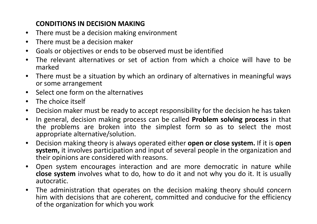#### **CONDITIONS IN DECISION MAKING**

- **•** There must be a decision making environment  $\bullet$
- $\bullet$ There must be <sup>a</sup> decision maker
- $\bullet$ Goals or objectives or ends to be observed must be identified
- The relevant alternatives or set of action from which a choice will have to be •marked
- There must be a situation by which an ordinary of alternatives in meaningful ways •or some arrangement
- $\bullet$ Select one form on the alternatives
- $\bullet$ The choice itself
- $\bullet$ Decision maker must be ready to accept responsibility for the decision he has taken
- $\bullet$  In general, decision making process can be called **Problem solving process** in that the problems are broken into the simplest form so as to select the most appropriate alternative/solution.
- $\bullet$  Decision making theory is always operated either **open or close system.** If it is **open system,** it involves participation and input of several people in the organization andtheir opinions are considered with reasons.
- $\bullet$  Open system encourages interaction and are more democratic in nature while **close system** involves what to do, how to do it and not why you do it. It is usually autocratic.
- $\bullet$  The administration that operates on the decision making theory should concernhim with decisions that are coherent, committed and conducive for the efficiency of the organization for which you work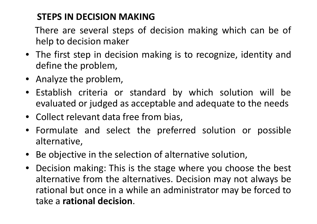#### **STEPS IN DECISION MAKING**

There are several steps of decision making which can be of help to decision maker

- The first step in decision making is to recognize, identity anddefine the problem,
- Analyze the problem,
- Establish criteria or standard by which solution will be evaluated or judged as acceptable and adequate to the needs
- Collect relevant data free from bias,
- Formulate and select the preferred solution or possible alternative,
- •Be objective in the selection of alternative solution,
- $\bullet$  Decision making: This is the stage where you choose the best alternative from the alternatives. Decision may not always be<br>rational but once in a while an administrator may be forced to rational but once in <sup>a</sup> while an administrator may be forced totake <sup>a</sup> **rational decision**.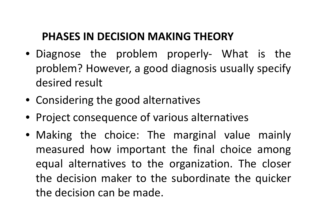# **PHASES IN DECISION MAKING THEORY**

- Diagnose the problem properly- What is the<br> problem? However, <sup>a</sup> good diagnosis usually specify desired result
- Considering the good alternatives
- Project consequence of various alternatives
- Making the choice: The marginal value mainly measured how important the final choice among<br> equal alternatives to the organization. The closer the decision maker to the subordinate the quicker the decision can be made.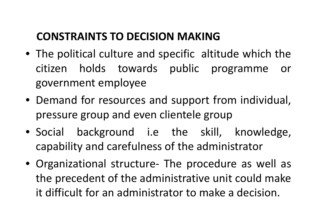# **CONSTRAINTS TO DECISION MAKING**

- The political culture and specific altitude which the citizen holds towards public programme or government employee
- Demand for resources and support from individual, pressure group and even clientele group
- Social background i.e the skill, knowledge, capability and carefulness of the administrator
- Organizational structure- The procedure as well as the precedent of the administrative unit could make it difficult for an administrator to make <sup>a</sup> decision.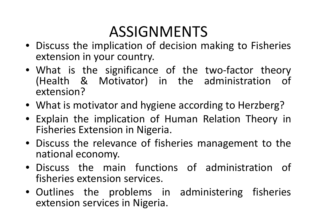# ASSIGNMENTS

- Discuss the implication of decision making to Fisheries extension in your country.
- What is the significance of the two-factor theory (Health & Motivator) in the administration of extension?
- What is motivator and hygiene according to Herzberg?
- Explain the implication of Human Relation Theory in Fisheries Extension in Nigeria.
- Discuss the relevance of fisheries management to the national economy.
- Discuss the main functions of administration of fisheries extension services.
- Outlines the problems in administering fisheries extension services in Nigeria.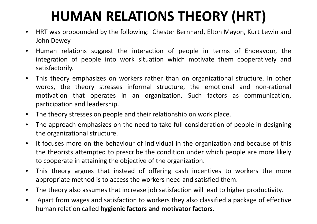## **HUMAN RELATIONS THEORY (HRT)**

- $\bullet$  HRT was propounded by the following: Chester Bernnard, Elton Mayon, Kurt Lewin andJohn Dewey
- $\bullet$  Human relations suggest the interaction of people in terms of Endeavour, the integration of people into work situation which motivate them cooperatively andsatisfactorily.
- $\bullet$  This theory emphasizes on workers rather than on organizational structure. In other words, the theory stresses informal structure, the emotional and non-rational motivation that operates in an organization. Such factors as communication, participation and leadership.
- $\bullet$ The theory stresses on people and their relationship on work place.
- • The approach emphasizes on the need to take full consideration of people in designing the organizational structure.
- $\bullet$  It focuses more on the behaviour of individual in the organization and because of this the theorists attempted to prescribe the condition under which people are more likely to cooperate in attaining the objective of the organization.
- $\bullet$  This theory argues that instead of offering cash incentives to workers the more appropriate method is to access the workers need and satisfied them.
- $\bullet$ The theory also assumes that increase job satisfaction will lead to higher productivity.
- $\bullet$  Apart from wages and satisfaction to workers they also classified <sup>a</sup> package of effective human relation called **hygienic factors and motivator factors.**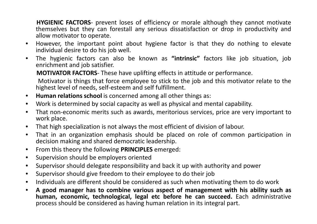**HYGIENIC FACTORS**- prevent loses of efficiency or morale although they cannot motivate themselves but they can forestall any serious dissatisfaction or drop in productivity andallow motivator to operate.

- $\bullet$  However, the important point about hygiene factor is that they do nothing to elevate individual desire to do his job well.
- • The hygienic factors can also be known as **"intrinsic"** factors like job situation, jobenrichment and job satisfier.

**MOTIVATOR FACTORS**- These have uplifting effects in attitude or performance.

Motivator is things that force employee to stick to the job and this motivator relate to the highest level of needs, self-esteem and self fulfillment.

- $\bullet$ **Human relations school** is concerned among all other things as:
- $\bullet$ Work is determined by social capacity as well as physical and mental capability.
- $\bullet$ • That non-economic merits such as awards, meritorious services, price are very important to work place.
- $\bullet$ That high specialization is not always the most efficient of division of labour.
- $\bullet$  That in an organization emphasis should be placed on role of common participation indecision making and shared democratic leadership.
- $\bullet$ From this theory the following **PRINCIPLES** emerged:
- $\bullet$ Supervision should be employers oriented
- **•** Supervisor should delegate responsibility and back it up with authority and power  $\bullet$
- $\bullet$ Supervisor should give freedom to their employee to do their job
- Individuals are different should be considered as such when motivating them to do work  $\bullet$
- $\bullet$ A good manager has to combine various aspect of management with his ability such as **human, economic, technological, legal etc before he can succeed.** Each administrative process should be considered as having human relation in its integral part.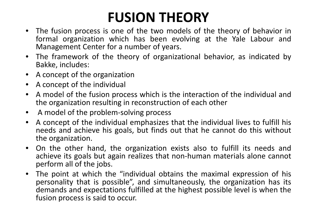### **FUSION THEORY**

- The fusion process is one of the two models of the theory of behavior in • formal organization which has been evolving at the Yale Labour andManagement Center for <sup>a</sup> number of years.
- $\bullet$  The framework of the theory of organizational behavior, as indicated by Bakke, includes:
- •<sup>A</sup> concept of the organization
- •<sup>A</sup> concept of the individual
- • <sup>A</sup> model of the fusion process which is the interaction of the individual andthe organization resulting in reconstruction of each other
- $\bullet$ A model of the problem-solving process
- <sup>A</sup> concept of the individual emphasizes that the individual lives to fulfill his  $\bullet$ needs and achieve his goals, but finds out that he cannot do this without the organization.
- $\bullet$  On the other hand, the organization exists also to fulfill its needs andachieve its goals but again realizes that non-human materials alone cannot perform all of the jobs.<br>The resist at which th
- • The point at which the "individual obtains the maximal expression of his personality that is possible", and simultaneously, the organization has its demands and expectations fulfilled at the highest possible level is when the fusion process is said to occur.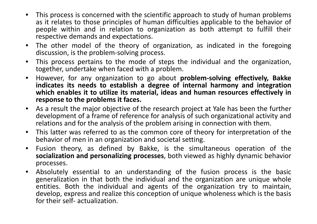- •• This process is concerned with the scientific approach to study of human problems as it relates to those principles of human difficulties applicable to the behavior of people within and in relation to organization as both attempt to fulfill their respective demands and expectations.
- $\bullet$  The other model of the theory of organization, as indicated in the foregoing discussion, is the problem-solving process.
- •• This process pertains to the mode of steps the individual and the organization, together, undertake when faced with <sup>a</sup> problem.
- $\bullet$  However, for any organization to go about **problem-solving effectively, Bakke** indicates its needs to establish a degree of internal harmony and integration which enables it to utilize its material, ideas and human resources effectively in **response to the problems it faces.**
- •• As a result the major objective of the research project at Yale has been the further development of a frame of reference for analysis of such organizational activity and relations and for the analysis of the problem arising in connection with them.
- $\bullet$  This latter was referred to as the common core of theory for interpretation of the behavior of men in an organization and societal setting.
- $\bullet$  Fusion theory, as defined by Bakke, is the simultaneous operation of the **socialization and personalizing processes**, both viewed as highly dynamic behavior processes.
- $\bullet$  Absolutely essential to an understanding of the fusion process is the basic generalization in that both the individual and the organization are unique whole entities. Both the individual and agents of the organization try to maintain, develop, express and realize this conception of unique wholeness which is the basis for their self- actualization.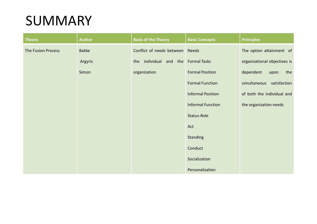#### SUMMARY

| <b>Theory</b>             | <b>Author</b> | <b>Basis of the Theory</b>          | <b>Basic Concepts</b>    | <b>Principles</b>            |
|---------------------------|---------------|-------------------------------------|--------------------------|------------------------------|
| <b>The Fusion Process</b> | <b>Bakke</b>  | Conflict of needs between Needs     |                          | The option attainment of     |
|                           | Argyris       | the individual and the Formal Tasks |                          | organizational objectives is |
|                           | Simon         | organization                        | <b>Formal Position</b>   | dependent<br>the<br>upon     |
|                           |               |                                     | <b>Formal Function</b>   | simultaneous satisfaction    |
|                           |               |                                     | <b>Informal Position</b> | of both the individual and   |
|                           |               |                                     | <b>Informal Function</b> | the organization needs       |
|                           |               |                                     | Status-Role              |                              |
|                           |               |                                     | Act                      |                              |
|                           |               |                                     | <b>Standing</b>          |                              |
|                           |               |                                     | Conduct                  |                              |
|                           |               |                                     | Socialization            |                              |
|                           |               |                                     | Personalization          |                              |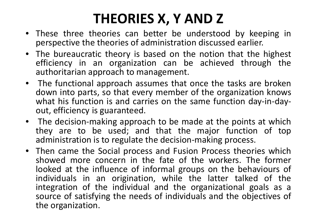### **THEORIES X, Y AND Z**

- These three theories can better be understood by keeping inperspective the theories of administration discussed earlier.
- The bureaucratic theory is based on the notion that the highest efficiency in an organization can be achieved through the authoritarian approach to management.
- The functional approach assumes that once the tasks are broken down into parts, so that every member of the organization knows what his function is and carries on the same function day-in-dayout, efficiency is guaranteed.
- The decision-making approach to be made at the points at whic h they are to be used; and that the major function of topadministration is to regulate the decision-making process.
- Then came the Social process and Fusion Process theories which showed more concern in the fate of the workers. The former looked at the influence of informal groups on the behaviours of individuals in an origination, while the latter talked of the integration of the individual and the organizational goals as <sup>a</sup> source of satisfying the needs of individuals and the objectives of the organization.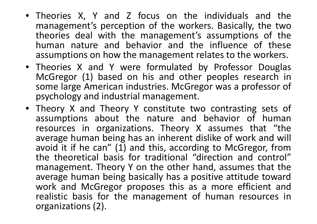- Theories X, Y and Z focus on the individuals and the management's perception of the workers. Basically, the two theories deal with the management's assumptions of the human nature and behavior and the influence of these assumptions on how the management relates to the workers.<br>The control of the state of the state of the state of the state of the state of the state of the state of the
- Theories <sup>X</sup> and <sup>Y</sup> were formulated by Professor Douglas McGregor (1) based on his and other peoples research in some large American industries. McGregor was <sup>a</sup> professor of psychology and industrial management.
- Theory X and Theory Y constitute two contrasting sets of assumptions about the nature and behavior of human resources in organizations. Theory <sup>X</sup> assumes that "the average human being has an inherent dislike of work and will avoid it if he can"  $(1)$  and this, according to McGregor, from the theoretical basis for traditional "direction and control" management. Theory <sup>Y</sup> on the other hand, assumes that the average human being basically has <sup>a</sup> positive attitude towardwork and McGregor proposes this as a more efficient and realistic basis for the management of human resources in organizations (2).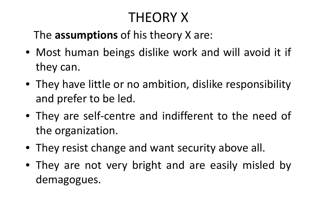# THEORY X

## The **assumptions** of his theory <sup>X</sup> are:

- Most human beings dislike work and will avoid it if they can.
- They have little or no ambition, dislike responsibility and prefer to be led.
- They are self-centre and indifferent to the need of the organization.
- They resist change and want security above all.
- They are not very bright and are easily misled by demagogues.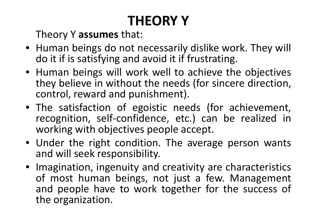# **THEORY Y**

Theory <sup>Y</sup> **assumes** that:

- Human beings do not necessarily dislike work. They will do it if is satisfying and avoid it if frustrating.
- Human beings will work well to achieve the objectives they believe in without the needs (for sincere direction, control, reward and punishment).
- The satisfaction of egoistic needs (for achievement, recognition, self-confidence, etc.) can be realized in working with objectives people accept.
- Under the right condition. The average person wants and will seek responsibility.
- Imagination, ingenuity and creativity are characteristics of most human beings, not just <sup>a</sup> few. Management and people have to work together for the success of the organization.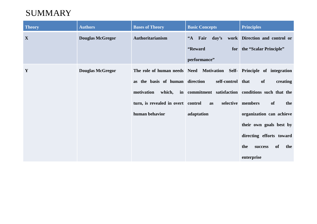#### **SUMMARY**

| <b>Theory</b> | <b>Authors</b>          | <b>Bases of Theory</b>             | <b>Basic Concepts</b>                                                  | <b>Principles</b>                     |
|---------------|-------------------------|------------------------------------|------------------------------------------------------------------------|---------------------------------------|
| X             | <b>Douglas McGregor</b> | Authoritarianism                   | "A Fair day's work Direction and control or                            |                                       |
|               |                         |                                    | "Reward                                                                | for the "Scalar Principle"            |
|               |                         |                                    | performance"                                                           |                                       |
| Y             | <b>Douglas McGregor</b> |                                    | The role of human needs Need Motivation Self- Principle of integration |                                       |
|               |                         | as the basis of human direction    | self-control that                                                      | of<br>creating                        |
|               |                         | motivation                         | which, in commitment satisfaction conditions such that the             |                                       |
|               |                         | turn, is revealed in overt control | as                                                                     | selective members<br><b>of</b><br>the |
|               |                         | human behavior                     | adaptation                                                             | organization can achieve              |
|               |                         |                                    |                                                                        | their own goals best by               |
|               |                         |                                    |                                                                        | directing efforts toward              |
|               |                         |                                    |                                                                        | the<br>of<br>the<br>success           |
|               |                         |                                    |                                                                        | enterprise                            |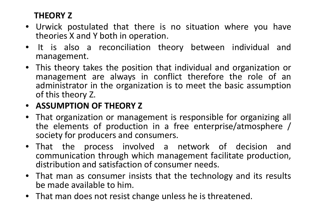#### **THEORY <sup>Z</sup>**

- • Urwick postulated that there is no situation where you have theories <sup>X</sup> and <sup>Y</sup> both in operation.
- $\bullet$  It is also <sup>a</sup> reconciliation theory between individual andmanagement.
- This theory takes the position that individual and organization or management are always in conflict therefore the role of anadministrator in the organization is to meet the basic assumption of this theory Z.

#### • **ASSUMPTION OF THEORY <sup>Z</sup>**

- •• That organization or management is responsible for organizing all the elements of production in <sup>a</sup> free enterprise/atmosphere / society for producers and consumers.
- That the process involved <sup>a</sup> network of decision and communication through which management facilitate production, distribution and satisfaction of consumer needs.
- $\bullet$  That man as consumer insists that the technology and its results be made available to him.
- •That man does not resist change unless he is threatened.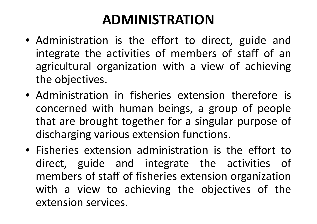### **ADMINISTRATION**

- Administration is the effort to direct, guide and integrate the activities of members of staff of anagricultural organization with a view of achieving<br>the objectives the objectives.
- Administration in fisheries extension therefore is concerned with human beings, a group of people that are brought together for <sup>a</sup> singular purpose of discharging various extension functions.
- Fisheries extension administration is the effort to direct, guide and integrate the activities of members of staff of fisheries extension organization with a view to achieving the objectives of the<br>extension.com/ises extension services.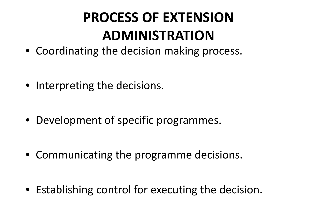# **PROCESS OF EXTENSION ADMINISTRATION**

- Coordinating the decision making process.
- Interpreting the decisions.
- Development of specific programmes.
- Communicating the programme decisions.
- Establishing control for executing the decision.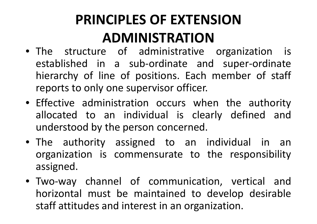# **PRINCIPLES OF EXTENSION ADMINISTRATION**

- The structure of administrative organization is established in <sup>a</sup> sub-ordinate and super-ordinate hierarchy of line of positions. Each member of staff reports to only one supervisor officer.
- Effective administration occurs when the authority allocated to an individual is clearly defined and understood by the person concerned.
- The authority assigned to an individual in an organization is commensurate to the responsibility assigned.
- Two-way channel of communication, vertical and horizontal must be maintained to develop desirable staff attitudes and interest in an organization.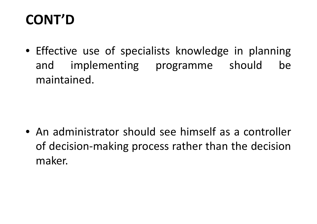## **CONT'D**

• Effective use of specialists knowledge in planning and implementing programme should be maintained.

• An administrator should see himself as <sup>a</sup> controller of decision-making process rather than the decision maker.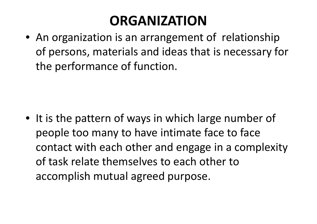## **ORGANIZATION**

 • An organization is an arrangement of relationship of persons, materials and ideas that is necessary for the performance of function.

• It is the pattern of ways in which large number of people too many to have intimate face to face contact with each other and engage in a complexity of task relate themselves to each other to accomplish mutual agreed purpose.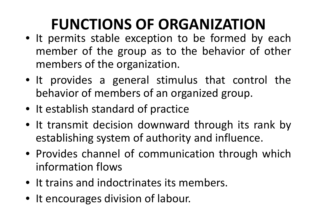# **FUNCTIONS OF ORGANIZATION**

- It permits stable exception to be formed by each member of the group as to the behavior of other members of the organization.
- It provides <sup>a</sup> general stimulus that control the behavior of members of an organized group.
- It establish standard of practice
- It transmit decision downward through its rank by establishing system of authority and influence.<br>Presenting
- Provides channel of communication through which information flows
- It trains and indoctrinates its members.
- It encourages division of labour.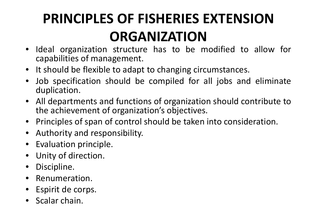# **PRINCIPLES OF FISHERIES EXTENSION ORGANIZATION**

- •• Ideal organization structure has to be modified to allow for<br>canabilities of management capabilities of management.
- •It should be flexible to adapt to changing circumstances.
- • Job specification should be compiled for all jobs and eliminate duplication.
- • All departments and functions of organization should contribute tothe achievement of organization's objectives.
- •Principles of span of control should be taken into consideration.
- •Authority and responsibility.
- •Evaluation principle.
- $\bullet$ Unity of direction.
- $\bullet$ Discipline.
- $\bullet$ Renumeration.
- •Espirit de corps.
- Scalar chain.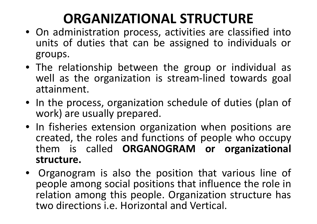## **ORGANIZATIONAL STRUCTURE**

- On administration process, activities are classified into units of duties that can be assigned to individuals or groups.
- The relationship between the group or individual as well as the organization is stream-lined towards goal attainment.
- In the process, organization schedule of duties (plan of work) are usually prepared.
- In fisheries extension organization when positions are created, the roles and functions of people who occupy them is called **ORGANOGRAM or organizational structure.**
- Organogram is also the position that various line of<br>Ineonle among social positions that influence the role in people among social positions that influence the role in relation among this people. Organization structure has two directions i.e. Horizontal and Vertical.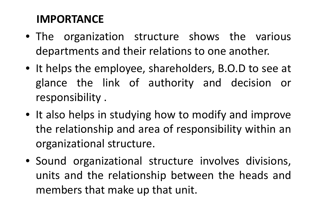#### **IMPORTANCE**

- The organization structure shows the various departments and their relations to one another.
- It helps the employee, shareholders, B.O.D to see at glance the link of authority and decision or responsibility .
- It also helps in studying how to modify and improve the relationship and area of responsibility within an organizational structure.
- Sound organizational structure involves divisions, units and the relationship between the heads and members that make up that unit.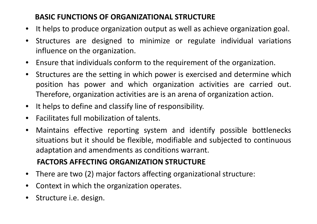#### **BASIC FUNCTIONS OF ORGANIZATIONAL STRUCTURE**

- It helps to produce organization output as well as achieve organization goal.
- $\bullet$  Structures are designed to minimize or regulate individual variations influence on the organization.
- $\bullet$ Ensure that individuals conform to the requirement of the organization.
- $\bullet$  Structures are the setting in which power is exercised and determine which position has power and which organization activities are carried out. Therefore, organization activities are is an arena of organization action.
- $\bullet$ It helps to define and classify line of responsibility.
- •Facilitates full mobilization of talents.
- $\bullet$ • Maintains effective reporting system and identify possible bottlenecks situations but it should be flexible, modifiable and subjected to continuous adaptation and amendments as conditions warrant.

#### **FACTORS AFFECTING ORGANIZATION STRUCTURE**

- $\bullet$ There are two (2) major factors affecting organizational structure:
- $\bullet$ Context in which the organization operates.
- •Structure i.e. design.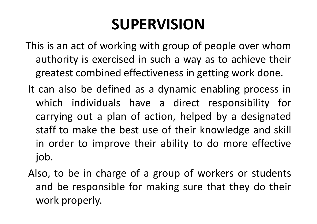# **SUPERVISION**

- This is an act of working with group of people over whomauthority is exercised in such <sup>a</sup> way as to achieve their greatest combined effectiveness in getting work done.
- It can also be defined as <sup>a</sup> dynamic enabling process in which individuals have <sup>a</sup> direct responsibility for carrying out <sup>a</sup> plan of action, helped by <sup>a</sup> designated staff to make the best use of their knowledge and skill in order to improve their ability to do more effective job.
- Also, to be in charge of <sup>a</sup> group of workers or students and be responsible for making sure that they do their work properly.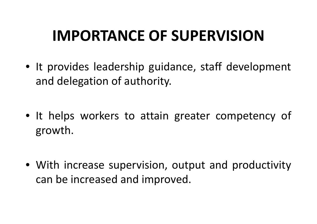# **IMPORTANCE OF SUPERVISION**

- It provides leadership guidance, staff development and delegation of authority.
- It helps workers to attain greater competency of growth.
- With increase supervision, output and productivity can be increased and improved.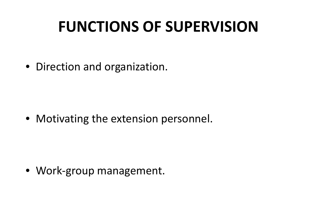# **FUNCTIONS OF SUPERVISION**

• Direction and organization.

• Motivating the extension personnel.

• Work-group management.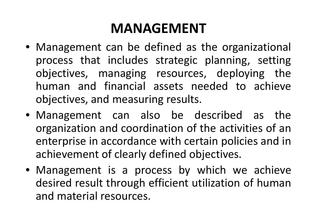### **MANAGEMENT**

- Management can be defined as the organizational process that includes strategic planning, setting objectives, managing resources, deploying the human and financial assets needed to achieve objectives, and measuring results.
- Management can also be described as the organization and coordination of the activities of an enterprise in accordance with certain policies and in achievement of clearly defined objectives.
- Management is <sup>a</sup> process by which we achieve desired result through efficient utilization of human and material resources.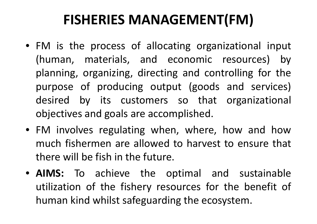### **FISHERIES MANAGEMENT(FM)**

- FM is the process of allocating organizational input (human, materials, and economic resources) by planning, organizing, directing and controlling for the purpose of producing output (goods and services) desired by its customers so that organizational objectives and goals are accomplished.
- FM involves regulating when, where, how and how<br>much fishermen are allowed to harvest to ensure that much fishermen are allowed to harvest to ensure that there will be fish in the future.
- **AIMS:** To achieve the optimal and sustainable utilization of the fishery resources for the benefit of human kind whilst safeguarding the ecosystem.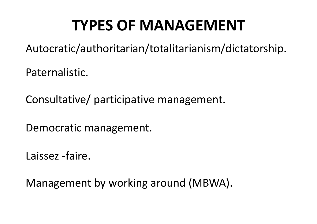# **TYPES OF MANAGEMENT**

Autocratic/authoritarian/totalitarianism/dictatorship.

Paternalistic.

Consultative/ participative management.

Democratic management.

Laissez -faire.

Management by working around (MBWA).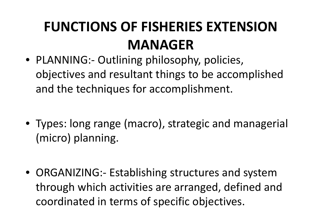## **FUNCTIONS OF FISHERIES EXTENSION MANAGER**

- PLANNING:- Outlining philosophy, policies, objectives and resultant things to be accomplished and the techniques for accomplishment.
- Types: long range (macro), strategic and managerial (micro) planning.
- ORGANIZING:- Establishing structures and system through which activities are arranged, defined and coordinated in terms of specific objectives.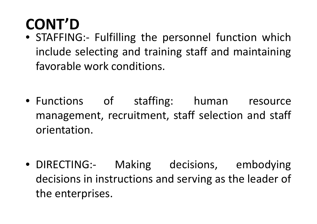# **CONT'D**

- STAFFING:- Fulfilling the personnel function which include selecting and training staff and maintaining favorable work conditions.
- Functions of staffing: human resource management, recruitment, staff selection and staff orientation.
- DIRECTING:- Making decisions, embodying decisions in instructions and serving as the leader of the enterprises.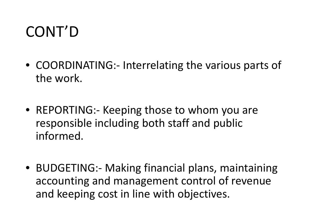# CONT'D

- COORDINATING:- Interrelating the various parts of the work.
- REPORTING:- Keeping those to whom you are responsible including both staff and public informed.
- BUDGETING:- Making financial plans, maintaining accounting and management control of revenue and keeping cost in line with objectives.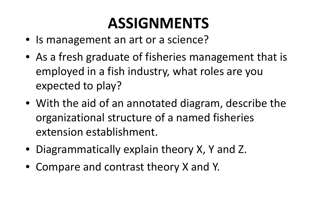# **ASSIGNMENTS**

- Is management an art or a science?
- As a fresh graduate of fisheries management that isemployed in a fish industry, what roles are you expected to play?
- With the aid of an annotated diagram, describe the organizational structure of a named fisheries extension establishment.
- Diagrammatically explain theory X, Y and Z.
- Compare and contrast theory X and Y.